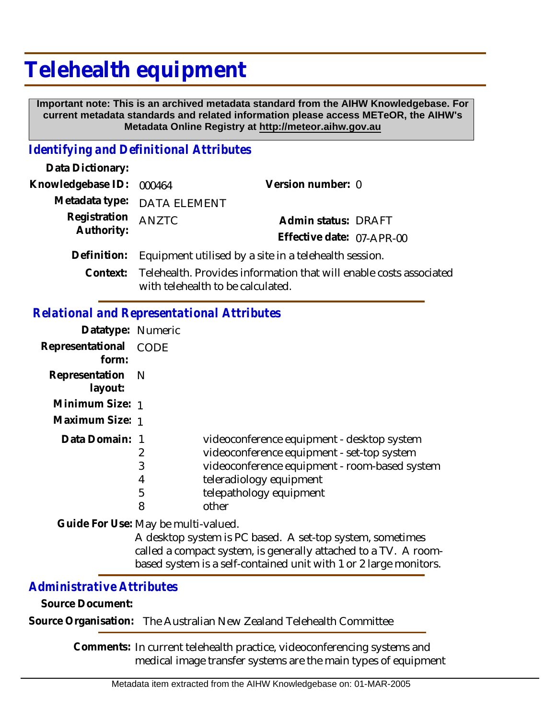# **Telehealth equipment**

 **Important note: This is an archived metadata standard from the AIHW Knowledgebase. For current metadata standards and related information please access METeOR, the AIHW's Metadata Online Registry at http://meteor.aihw.gov.au**

# *Identifying and Definitional Attributes*

| Data Dictionary:           |                                                                    |                           |  |
|----------------------------|--------------------------------------------------------------------|---------------------------|--|
| Knowledgebase ID:          | 000464                                                             | Version number: 0         |  |
|                            | Metadata type: DATA ELEMENT                                        |                           |  |
| Registration<br>Authority: | <b>ANZTC</b>                                                       | Admin status: DRAFT       |  |
|                            |                                                                    | Effective date: 07-APR-00 |  |
| Definition:                | Equipment utilised by a site in a telehealth session.              |                           |  |
| Context:                   | Telehealth. Provides information that will enable costs associated |                           |  |

with telehealth to be calculated.

### *Relational and Representational Attributes*

| Datatype: Numeric           |                       |                                                                                                                                                                                                          |
|-----------------------------|-----------------------|----------------------------------------------------------------------------------------------------------------------------------------------------------------------------------------------------------|
| Representational<br>form:   | CODE                  |                                                                                                                                                                                                          |
| Representation N<br>layout: |                       |                                                                                                                                                                                                          |
| Minimum Size: 1             |                       |                                                                                                                                                                                                          |
| Maximum Size: 1             |                       |                                                                                                                                                                                                          |
| Data Domain: 1              | 2<br>3<br>4<br>5<br>8 | videoconference equipment - desktop system<br>videoconference equipment - set-top system<br>videoconference equipment - room-based system<br>teleradiology equipment<br>telepathology equipment<br>other |

Guide For Use: May be multi-valued.

A desktop system is PC based. A set-top system, sometimes called a compact system, is generally attached to a TV. A roombased system is a self-contained unit with 1 or 2 large monitors.

# *Administrative Attributes*

**Source Document:**

**Source Organisation:** The Australian New Zealand Telehealth Committee

Comments: In current telehealth practice, videoconferencing systems and medical image transfer systems are the main types of equipment